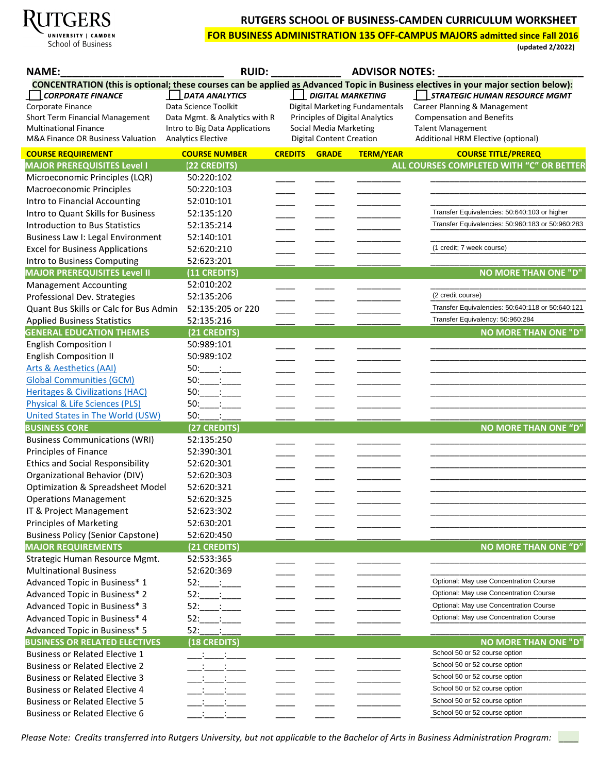

# **RUTGERS SCHOOL OF BUSINESS-CAMDEN CURRICULUM WORKSHEET**

**FOR BUSINESS ADMINISTRATION 135 OFF-CAMPUS MAJORS admitted since Fall 2016**

**(updated 2/2022)** 

| <b>NAME:</b>                               | <b>RUID:</b>                        |                |                                 | <b>ADVISOR NOTES:</b>           |                                                                                                                                     |
|--------------------------------------------|-------------------------------------|----------------|---------------------------------|---------------------------------|-------------------------------------------------------------------------------------------------------------------------------------|
|                                            |                                     |                |                                 |                                 | CONCENTRATION (this is optional; these courses can be applied as Advanced Topic in Business electives in your major section below): |
| <b>CORPORATE FINANCE</b>                   | <b>DATA ANALYTICS</b>               |                | <b>DIGITAL MARKETING</b>        |                                 | STRATEGIC HUMAN RESOURCE MGMT                                                                                                       |
| Corporate Finance                          | Data Science Toolkit                |                |                                 | Digital Marketing Fundamentals  | Career Planning & Management                                                                                                        |
| Short Term Financial Management            | Data Mgmt. & Analytics with R       |                |                                 | Principles of Digital Analytics | <b>Compensation and Benefits</b>                                                                                                    |
| <b>Multinational Finance</b>               | Intro to Big Data Applications      |                | Social Media Marketing          |                                 | <b>Talent Management</b>                                                                                                            |
| M&A Finance OR Business Valuation          | <b>Analytics Elective</b>           |                | <b>Digital Content Creation</b> |                                 | Additional HRM Elective (optional)                                                                                                  |
| <b>COURSE REQUIREMENT</b>                  | <b>COURSE NUMBER</b>                | <b>CREDITS</b> | <b>GRADE</b>                    | <b>TERM/YEAR</b>                | <b>COURSE TITLE/PREREQ</b>                                                                                                          |
| <b>MAJOR PREREQUISITES Level I</b>         | (22 CREDITS)                        |                |                                 |                                 | ALL COURSES COMPLETED WITH "C" OR BETTER                                                                                            |
| Microeconomic Principles (LQR)             | 50:220:102                          |                |                                 |                                 |                                                                                                                                     |
| <b>Macroeconomic Principles</b>            | 50:220:103                          |                |                                 |                                 |                                                                                                                                     |
| Intro to Financial Accounting              | 52:010:101                          |                |                                 |                                 |                                                                                                                                     |
| Intro to Quant Skills for Business         | 52:135:120                          |                |                                 |                                 | Transfer Equivalencies: 50:640:103 or higher                                                                                        |
| <b>Introduction to Bus Statistics</b>      | 52:135:214                          |                |                                 |                                 | Transfer Equivalencies: 50:960:183 or 50:960:283                                                                                    |
| Business Law I: Legal Environment          | 52:140:101                          |                |                                 |                                 |                                                                                                                                     |
| <b>Excel for Business Applications</b>     | 52:620:210                          |                |                                 |                                 | (1 credit; 7 week course)                                                                                                           |
| Intro to Business Computing                | 52:623:201                          |                |                                 |                                 |                                                                                                                                     |
| <b>MAJOR PREREQUISITES Level II</b>        | (11 CREDITS)                        |                |                                 |                                 | <b>NO MORE THAN ONE "D"</b>                                                                                                         |
| <b>Management Accounting</b>               | 52:010:202                          |                |                                 |                                 |                                                                                                                                     |
| Professional Dev. Strategies               | 52:135:206                          |                |                                 |                                 | (2 credit course)                                                                                                                   |
| Quant Bus Skills or Calc for Bus Admin     | 52:135:205 or 220                   |                |                                 |                                 | Transfer Equivalencies: 50:640:118 or 50:640:121                                                                                    |
| <b>Applied Business Statistics</b>         | 52:135:216                          |                |                                 |                                 | Transfer Equivalency: 50:960:284                                                                                                    |
| <b>GENERAL EDUCATION THEMES</b>            | (21 CREDITS)                        |                |                                 |                                 | <b>NO MORE THAN ONE "D"</b>                                                                                                         |
| <b>English Composition I</b>               | 50:989:101                          |                |                                 |                                 |                                                                                                                                     |
| <b>English Composition II</b>              | 50:989:102                          |                |                                 |                                 |                                                                                                                                     |
| <b>Arts &amp; Aesthetics (AAI)</b>         | $50:$ $\qquad \qquad$               |                |                                 |                                 |                                                                                                                                     |
| <b>Global Communities (GCM)</b>            | 50:<br><u>in the ma</u>             |                |                                 |                                 |                                                                                                                                     |
| <b>Heritages &amp; Civilizations (HAC)</b> | $50:$ : $\qquad$ :                  |                |                                 |                                 |                                                                                                                                     |
| <b>Physical &amp; Life Sciences (PLS)</b>  | $\sim$ :<br>50:                     |                |                                 |                                 |                                                                                                                                     |
| United States in The World (USW)           | 50:                                 |                |                                 |                                 |                                                                                                                                     |
| <b>BUSINESS CORE</b>                       | (27 CREDITS)                        |                |                                 |                                 | <b>NO MORE THAN ONE "D"</b>                                                                                                         |
| <b>Business Communications (WRI)</b>       | 52:135:250                          |                |                                 |                                 |                                                                                                                                     |
| Principles of Finance                      | 52:390:301                          |                |                                 |                                 |                                                                                                                                     |
| <b>Ethics and Social Responsibility</b>    | 52:620:301                          |                |                                 |                                 |                                                                                                                                     |
| Organizational Behavior (DIV)              | 52:620:303                          |                |                                 |                                 |                                                                                                                                     |
| Optimization & Spreadsheet Model           | 52:620:321                          |                |                                 |                                 |                                                                                                                                     |
| <b>Operations Management</b>               | 52:620:325                          |                |                                 |                                 |                                                                                                                                     |
| IT & Project Management                    | 52:623:302                          |                |                                 |                                 |                                                                                                                                     |
| <b>Principles of Marketing</b>             | 52:630:201                          |                |                                 |                                 |                                                                                                                                     |
| <b>Business Policy (Senior Capstone)</b>   | 52:620:450                          |                |                                 |                                 |                                                                                                                                     |
| <b>MAJOR REQUIREMENTS</b>                  | (21 CREDITS)                        |                |                                 |                                 | <b>NO MORE THAN ONE "D"</b>                                                                                                         |
| Strategic Human Resource Mgmt.             | 52:533:365                          |                |                                 |                                 |                                                                                                                                     |
| <b>Multinational Business</b>              | 52:620:369                          |                |                                 |                                 |                                                                                                                                     |
| Advanced Topic in Business* 1              | 52:<br>$\sim 100$ km s $^{-1}$      |                |                                 |                                 | Optional: May use Concentration Course                                                                                              |
| Advanced Topic in Business* 2              | 52:<br><b>Contractor</b>            |                |                                 |                                 | Optional: May use Concentration Course                                                                                              |
| Advanced Topic in Business* 3              | $52:$ :                             |                |                                 |                                 | Optional: May use Concentration Course                                                                                              |
| Advanced Topic in Business* 4              | 52:                                 |                |                                 |                                 | Optional: May use Concentration Course                                                                                              |
| Advanced Topic in Business* 5              | 52:                                 |                |                                 |                                 |                                                                                                                                     |
| <b>BUSINESS OR RELATED ELECTIVES</b>       | (18 CREDITS)                        |                |                                 |                                 | <b>NO MORE THAN ONE "D"</b>                                                                                                         |
| <b>Business or Related Elective 1</b>      | $\mathbb{C}^n$ . The $\mathbb{C}^n$ |                |                                 |                                 | School 50 or 52 course option                                                                                                       |
| <b>Business or Related Elective 2</b>      |                                     |                |                                 |                                 | School 50 or 52 course option                                                                                                       |
| <b>Business or Related Elective 3</b>      | <u> 1000 - 10</u>                   |                |                                 |                                 | School 50 or 52 course option                                                                                                       |
| <b>Business or Related Elective 4</b>      |                                     |                |                                 |                                 | School 50 or 52 course option                                                                                                       |
|                                            |                                     |                |                                 |                                 | School 50 or 52 course option                                                                                                       |
| <b>Business or Related Elective 5</b>      |                                     |                |                                 |                                 | School 50 or 52 course option                                                                                                       |
| <b>Business or Related Elective 6</b>      |                                     |                |                                 |                                 |                                                                                                                                     |

*Please Note: Credits transferred into Rutgers University, but not applicable to the Bachelor of Arts in Business Administration Program: \_\_\_\_*